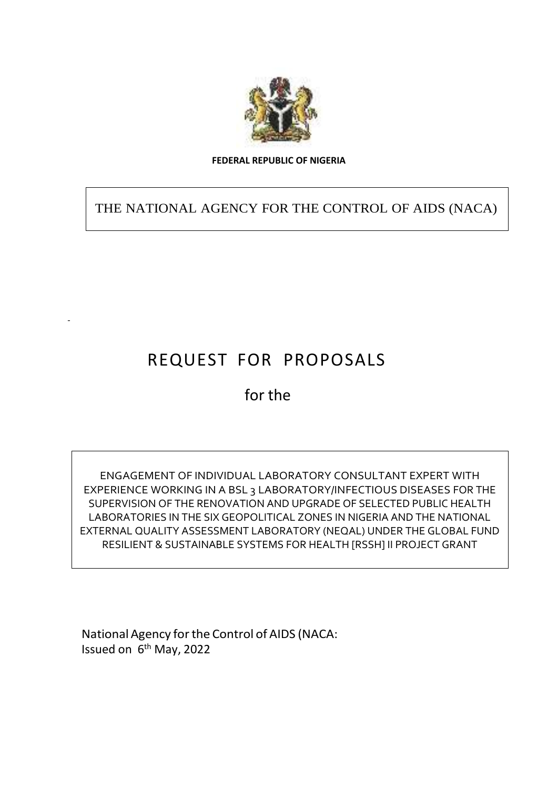

#### **FEDERAL REPUBLIC OF NIGERIA**

THE NATIONAL AGENCY FOR THE CONTROL OF AIDS (NACA)

# REQUEST FOR PROPOSALS

for the

ENGAGEMENT OF INDIVIDUAL LABORATORY CONSULTANT EXPERT WITH EXPERIENCE WORKING IN A BSL 3 LABORATORY/INFECTIOUS DISEASES FOR THE SUPERVISION OF THE RENOVATION AND UPGRADE OF SELECTED PUBLIC HEALTH LABORATORIES IN THE SIX GEOPOLITICAL ZONES IN NIGERIA AND THE NATIONAL EXTERNAL QUALITY ASSESSMENT LABORATORY (NEQAL) UNDER THE GLOBAL FUND RESILIENT & SUSTAINABLE SYSTEMS FOR HEALTH [RSSH] II PROJECT GRANT

National Agency forthe Control of AIDS (NACA: Issued on 6<sup>th</sup> May, 2022

-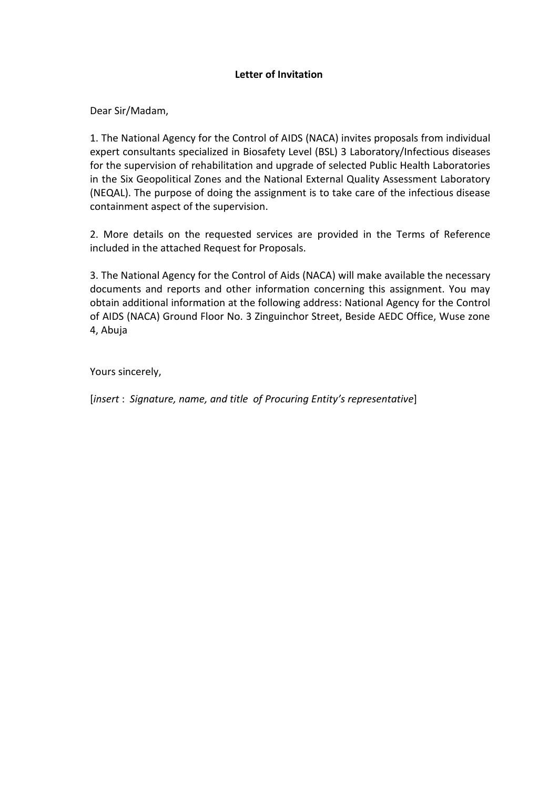### **Letter of Invitation**

Dear Sir/Madam,

1. The National Agency for the Control of AIDS (NACA) invites proposals from individual expert consultants specialized in Biosafety Level (BSL) 3 Laboratory/Infectious diseases for the supervision of rehabilitation and upgrade of selected Public Health Laboratories in the Six Geopolitical Zones and the National External Quality Assessment Laboratory (NEQAL). The purpose of doing the assignment is to take care of the infectious disease containment aspect of the supervision.

2. More details on the requested services are provided in the Terms of Reference included in the attached Request for Proposals.

3. The National Agency for the Control of Aids (NACA) will make available the necessary documents and reports and other information concerning this assignment. You may obtain additional information at the following address: National Agency for the Control of AIDS (NACA) Ground Floor No. 3 Zinguinchor Street, Beside AEDC Office, Wuse zone 4, Abuja

Yours sincerely,

[*insert* : *Signature, name, and title of Procuring Entity's representative*]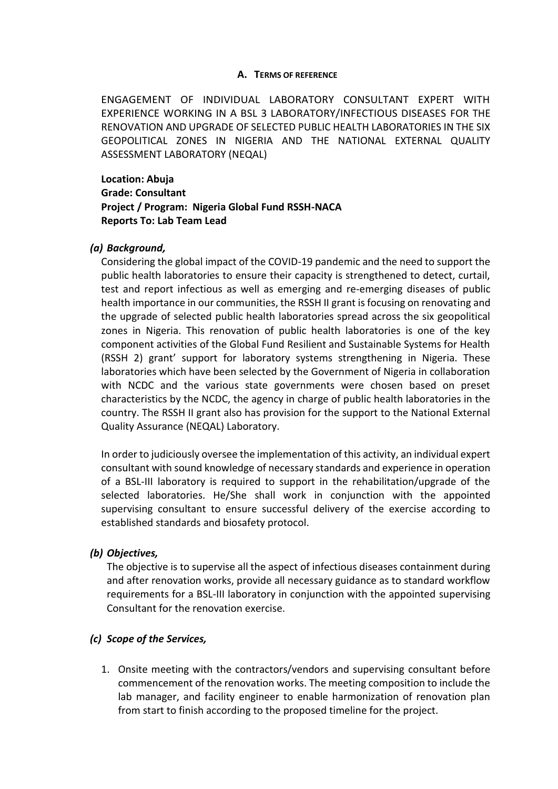#### **A. TERMS OF REFERENCE**

ENGAGEMENT OF INDIVIDUAL LABORATORY CONSULTANT EXPERT WITH EXPERIENCE WORKING IN A BSL 3 LABORATORY/INFECTIOUS DISEASES FOR THE RENOVATION AND UPGRADE OF SELECTED PUBLIC HEALTH LABORATORIES IN THE SIX GEOPOLITICAL ZONES IN NIGERIA AND THE NATIONAL EXTERNAL QUALITY ASSESSMENT LABORATORY (NEQAL)

**Location: Abuja Grade: Consultant Project / Program: Nigeria Global Fund RSSH-NACA Reports To: Lab Team Lead**

#### *(a) Background,*

Considering the global impact of the COVID-19 pandemic and the need to support the public health laboratories to ensure their capacity is strengthened to detect, curtail, test and report infectious as well as emerging and re-emerging diseases of public health importance in our communities, the RSSH II grant is focusing on renovating and the upgrade of selected public health laboratories spread across the six geopolitical zones in Nigeria. This renovation of public health laboratories is one of the key component activities of the Global Fund Resilient and Sustainable Systems for Health (RSSH 2) grant' support for laboratory systems strengthening in Nigeria. These laboratories which have been selected by the Government of Nigeria in collaboration with NCDC and the various state governments were chosen based on preset characteristics by the NCDC, the agency in charge of public health laboratories in the country. The RSSH II grant also has provision for the support to the National External Quality Assurance (NEQAL) Laboratory.

In order to judiciously oversee the implementation of this activity, an individual expert consultant with sound knowledge of necessary standards and experience in operation of a BSL-III laboratory is required to support in the rehabilitation/upgrade of the selected laboratories. He/She shall work in conjunction with the appointed supervising consultant to ensure successful delivery of the exercise according to established standards and biosafety protocol.

#### *(b) Objectives,*

The objective is to supervise all the aspect of infectious diseases containment during and after renovation works, provide all necessary guidance as to standard workflow requirements for a BSL-III laboratory in conjunction with the appointed supervising Consultant for the renovation exercise.

#### *(c) Scope of the Services,*

1. Onsite meeting with the contractors/vendors and supervising consultant before commencement of the renovation works. The meeting composition to include the lab manager, and facility engineer to enable harmonization of renovation plan from start to finish according to the proposed timeline for the project.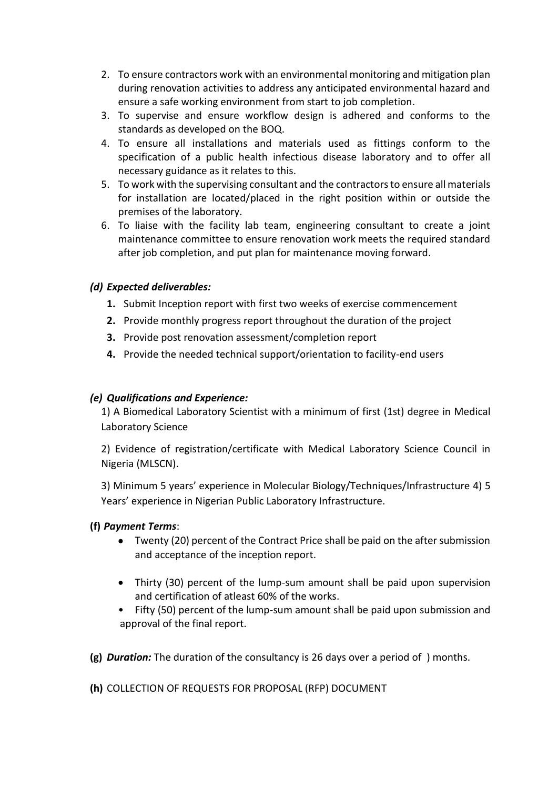- 2. To ensure contractors work with an environmental monitoring and mitigation plan during renovation activities to address any anticipated environmental hazard and ensure a safe working environment from start to job completion.
- 3. To supervise and ensure workflow design is adhered and conforms to the standards as developed on the BOQ.
- 4. To ensure all installations and materials used as fittings conform to the specification of a public health infectious disease laboratory and to offer all necessary guidance as it relates to this.
- 5. To work with the supervising consultant and the contractors to ensure all materials for installation are located/placed in the right position within or outside the premises of the laboratory.
- 6. To liaise with the facility lab team, engineering consultant to create a joint maintenance committee to ensure renovation work meets the required standard after job completion, and put plan for maintenance moving forward.

## *(d) Expected deliverables:*

- **1.** Submit Inception report with first two weeks of exercise commencement
- **2.** Provide monthly progress report throughout the duration of the project
- **3.** Provide post renovation assessment/completion report
- **4.** Provide the needed technical support/orientation to facility-end users

## *(e) Qualifications and Experience:*

1) A Biomedical Laboratory Scientist with a minimum of first (1st) degree in Medical Laboratory Science

2) Evidence of registration/certificate with Medical Laboratory Science Council in Nigeria (MLSCN).

3) Minimum 5 years' experience in Molecular Biology/Techniques/Infrastructure 4) 5 Years' experience in Nigerian Public Laboratory Infrastructure.

## **(f)** *Payment Terms*:

- Twenty (20) percent of the Contract Price shall be paid on the after submission and acceptance of the inception report.
- Thirty (30) percent of the lump-sum amount shall be paid upon supervision and certification of atleast 60% of the works.
- Fifty (50) percent of the lump-sum amount shall be paid upon submission and approval of the final report.

**(g)** *Duration:* The duration of the consultancy is 26 days over a period of ) months.

**(h)** COLLECTION OF REQUESTS FOR PROPOSAL (RFP) DOCUMENT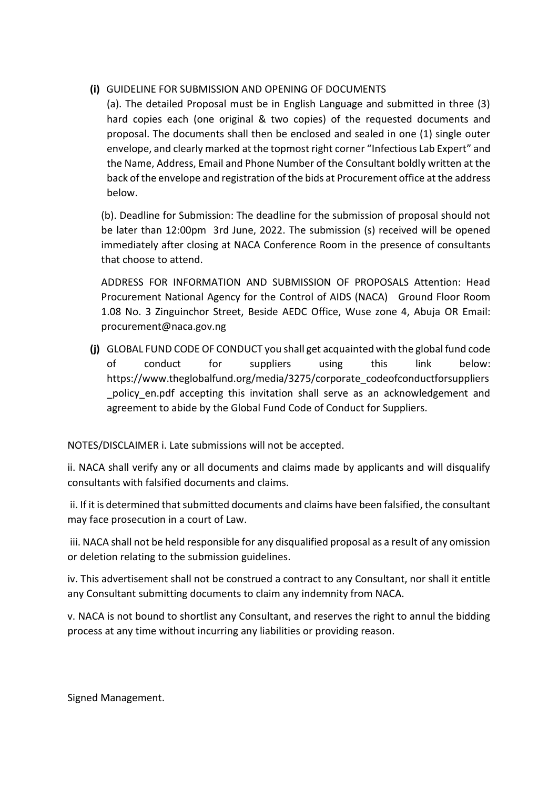# **(i)** GUIDELINE FOR SUBMISSION AND OPENING OF DOCUMENTS

(a). The detailed Proposal must be in English Language and submitted in three (3) hard copies each (one original & two copies) of the requested documents and proposal. The documents shall then be enclosed and sealed in one (1) single outer envelope, and clearly marked at the topmost right corner "Infectious Lab Expert" and the Name, Address, Email and Phone Number of the Consultant boldly written at the back of the envelope and registration of the bids at Procurement office at the address below.

(b). Deadline for Submission: The deadline for the submission of proposal should not be later than 12:00pm 3rd June, 2022. The submission (s) received will be opened immediately after closing at NACA Conference Room in the presence of consultants that choose to attend.

ADDRESS FOR INFORMATION AND SUBMISSION OF PROPOSALS Attention: Head Procurement National Agency for the Control of AIDS (NACA) Ground Floor Room 1.08 No. 3 Zinguinchor Street, Beside AEDC Office, Wuse zone 4, Abuja OR Email: procurement@naca.gov.ng

**(j)** GLOBAL FUND CODE OF CONDUCT you shall get acquainted with the global fund code of conduct for suppliers using this link below: https://www.theglobalfund.org/media/3275/corporate\_codeofconductforsuppliers \_policy\_en.pdf accepting this invitation shall serve as an acknowledgement and agreement to abide by the Global Fund Code of Conduct for Suppliers.

NOTES/DISCLAIMER i. Late submissions will not be accepted.

ii. NACA shall verify any or all documents and claims made by applicants and will disqualify consultants with falsified documents and claims.

ii. If it is determined that submitted documents and claims have been falsified, the consultant may face prosecution in a court of Law.

iii. NACA shall not be held responsible for any disqualified proposal as a result of any omission or deletion relating to the submission guidelines.

iv. This advertisement shall not be construed a contract to any Consultant, nor shall it entitle any Consultant submitting documents to claim any indemnity from NACA.

v. NACA is not bound to shortlist any Consultant, and reserves the right to annul the bidding process at any time without incurring any liabilities or providing reason.

Signed Management.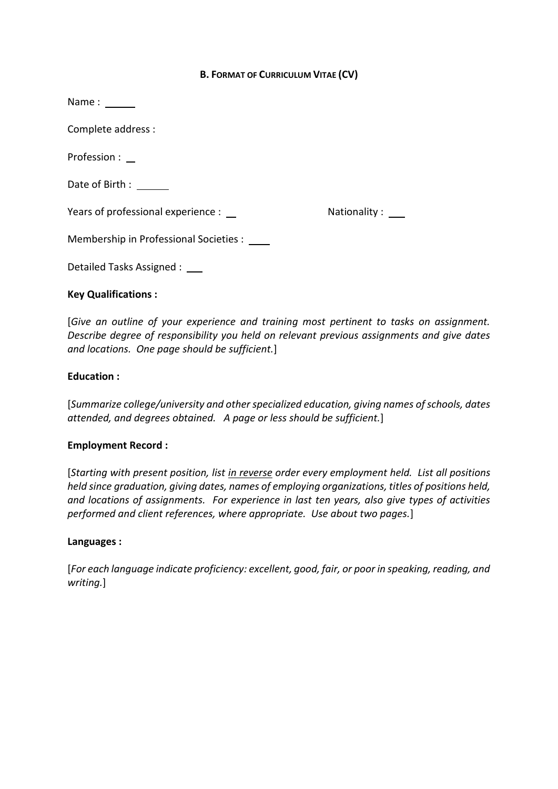#### **B. FORMAT OF CURRICULUM VITAE (CV)**

| Name:                                  |              |
|----------------------------------------|--------------|
| Complete address :                     |              |
| Profession :                           |              |
| Date of Birth:                         |              |
| Years of professional experience :     | Nationality: |
| Membership in Professional Societies : |              |
| Detailed Tasks Assigned :              |              |

#### **Key Qualifications :**

[*Give an outline of your experience and training most pertinent to tasks on assignment. Describe degree of responsibility you held on relevant previous assignments and give dates and locations. One page should be sufficient.*]

#### **Education :**

[*Summarize college/university and other specialized education, giving names of schools, dates attended, and degrees obtained. A page or less should be sufficient.*]

#### **Employment Record :**

[*Starting with present position, list in reverse order every employment held. List all positions held since graduation, giving dates, names of employing organizations, titles of positions held, and locations of assignments. For experience in last ten years, also give types of activities performed and client references, where appropriate. Use about two pages.*]

#### **Languages :**

[*For each language indicate proficiency: excellent, good, fair, or poor in speaking, reading, and writing.*]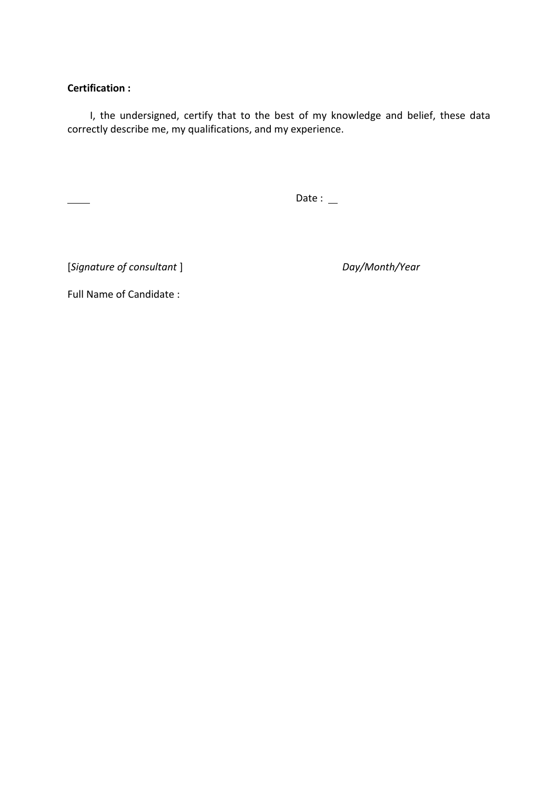## **Certification :**

I, the undersigned, certify that to the best of my knowledge and belief, these data correctly describe me, my qualifications, and my experience.

Date :  $\mathbf{\underline{\ } }$ 

[*Signature of consultant* ] *Day/Month/Year*

Full Name of Candidate :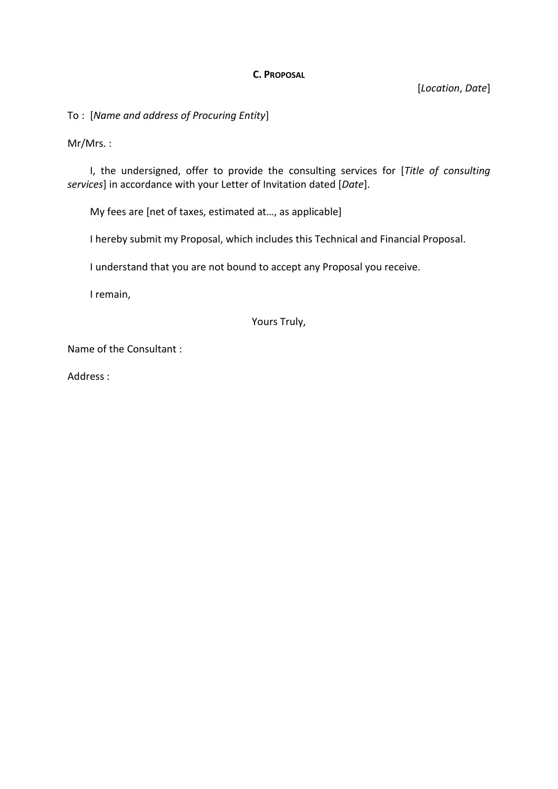#### **C. PROPOSAL**

[*Location*, *Date*]

To : [*Name and address of Procuring Entity*]

Mr/Mrs. :

I, the undersigned, offer to provide the consulting services for [*Title of consulting services*] in accordance with your Letter of Invitation dated [*Date*].

My fees are [net of taxes, estimated at…, as applicable]

I hereby submit my Proposal, which includes this Technical and Financial Proposal.

I understand that you are not bound to accept any Proposal you receive.

I remain,

Yours Truly,

Name of the Consultant :

Address :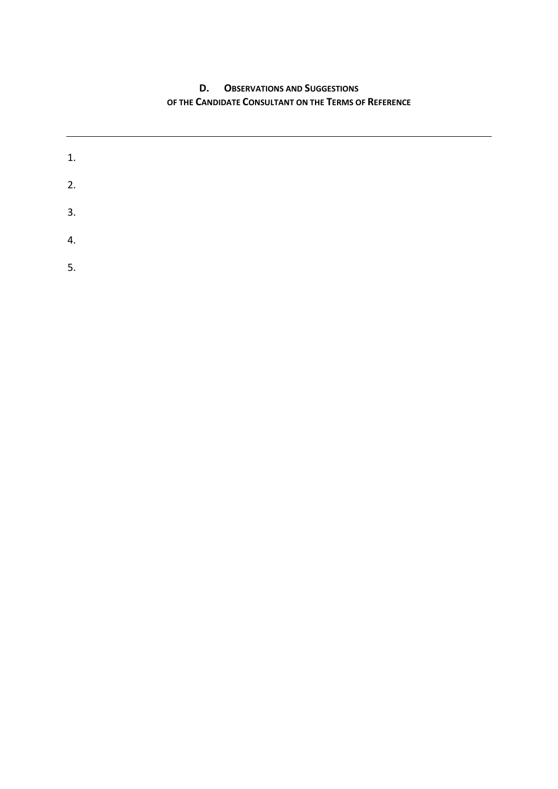# **D. OBSERVATIONS AND SUGGESTIONS OF THE CANDIDATE CONSULTANT ON THE TERMS OF REFERENCE**

| 1. |  |  |  |
|----|--|--|--|
| 2. |  |  |  |
| 3. |  |  |  |
| 4. |  |  |  |
| 5. |  |  |  |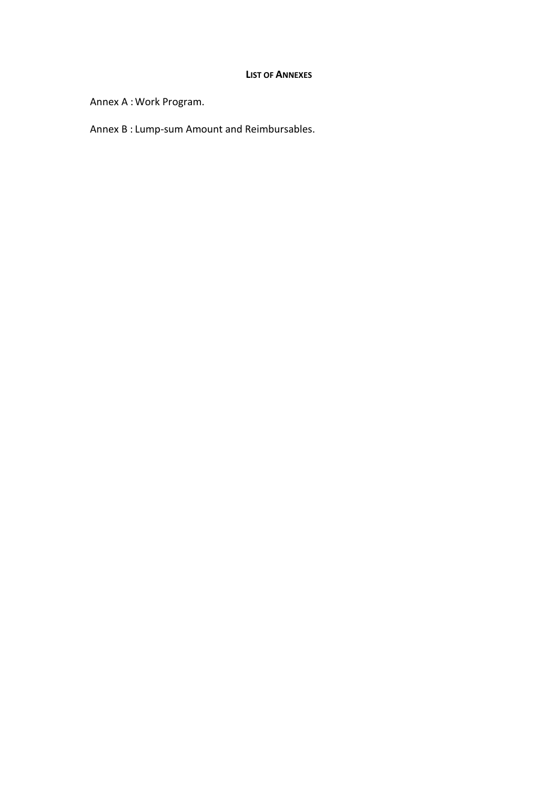#### **LIST OF ANNEXES**

Annex A :Work Program.

Annex B : Lump-sum Amount and Reimbursables.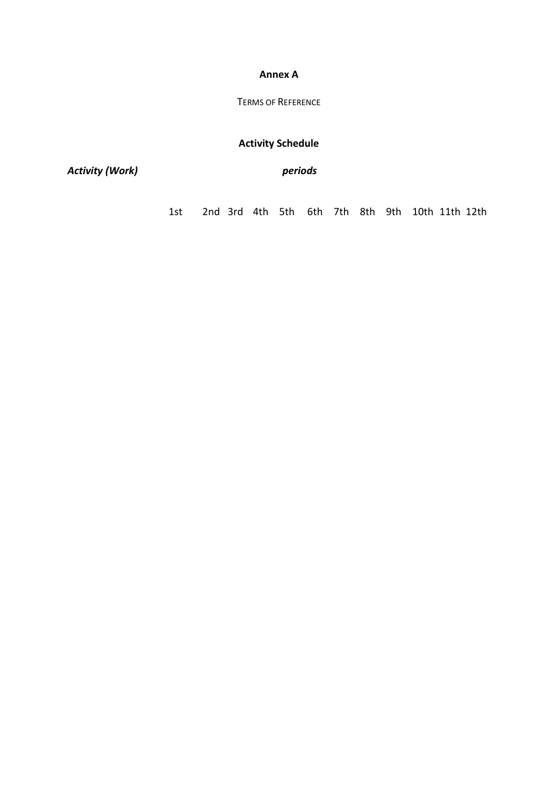#### **Annex A**

## TERMS OF REFERENCE

# **Activity Schedule**

*Activity (Work) periods*

1st 2nd 3rd 4th 5th 6th 7th 8th 9th 10th 11th 12th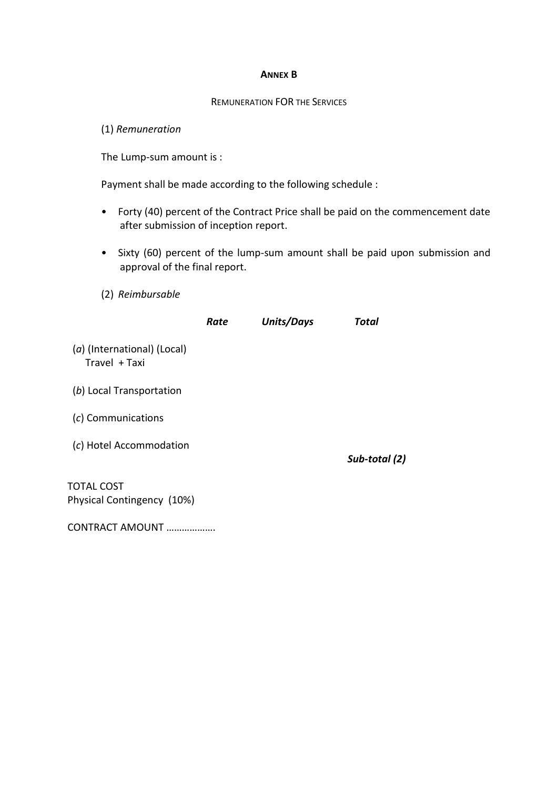#### **ANNEX B**

#### REMUNERATION FOR THE SERVICES

(1) *Remuneration* 

The Lump-sum amount is :

Payment shall be made according to the following schedule :

- Forty (40) percent of the Contract Price shall be paid on the commencement date after submission of inception report.
- Sixty (60) percent of the lump-sum amount shall be paid upon submission and approval of the final report.
- (2) *Reimbursable*

|                                                 | Rate | Units/Days | Total         |
|-------------------------------------------------|------|------------|---------------|
| (a) (International) (Local)<br>Travel + Taxi    |      |            |               |
| (b) Local Transportation                        |      |            |               |
| (c) Communications                              |      |            |               |
| (c) Hotel Accommodation                         |      |            | Sub-total (2) |
| <b>TOTAL COST</b><br>Physical Contingency (10%) |      |            |               |

CONTRACT AMOUNT ……………….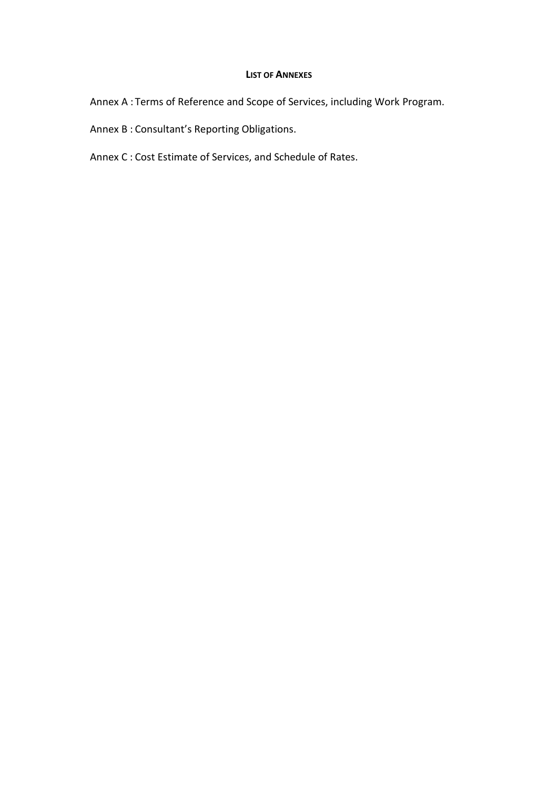#### **LIST OF ANNEXES**

Annex A : Terms of Reference and Scope of Services, including Work Program.

Annex B : Consultant's Reporting Obligations.

Annex C : Cost Estimate of Services, and Schedule of Rates.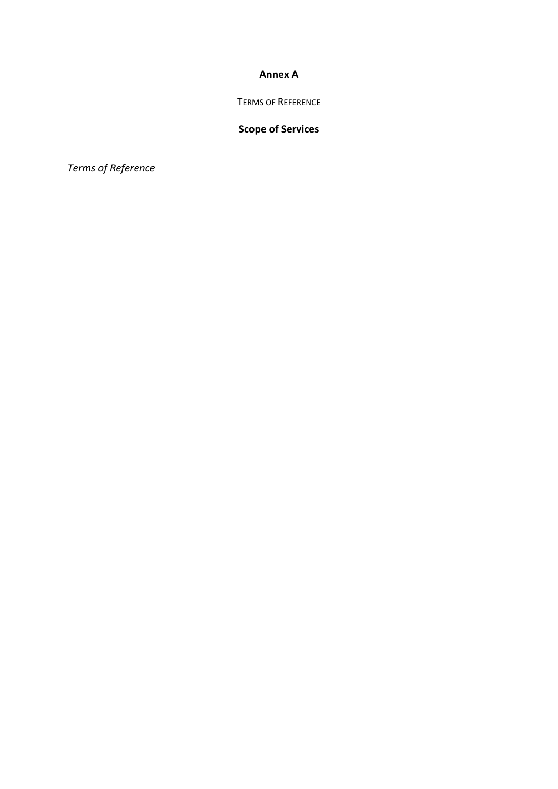#### **Annex A**

TERMS OF REFERENCE

# **Scope of Services**

*Terms of Reference*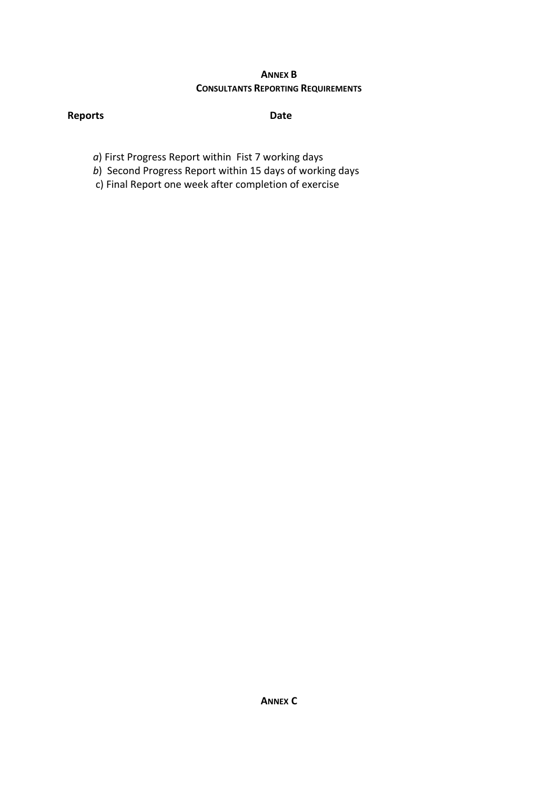# **ANNEX B CONSULTANTS REPORTING REQUIREMENTS**

# **Reports Date**

- *a*) First Progress Report within Fist 7 working days
- *b*) Second Progress Report within 15 days of working days
- c) Final Report one week after completion of exercise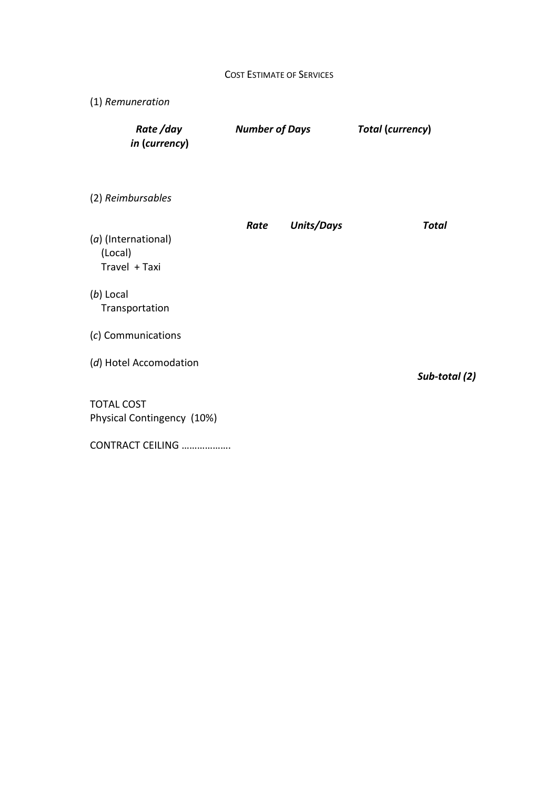| <b>COST ESTIMATE OF SERVICES</b> |  |
|----------------------------------|--|
|----------------------------------|--|

| (1) Remuneration                                |                       |                   |                         |
|-------------------------------------------------|-----------------------|-------------------|-------------------------|
| Rate/day<br>in (currency)                       | <b>Number of Days</b> |                   | <b>Total (currency)</b> |
| (2) Reimbursables                               |                       |                   |                         |
| (a) (International)<br>(Local)<br>Travel + Taxi | Rate                  | <b>Units/Days</b> | <b>Total</b>            |
| (b) Local<br>Transportation                     |                       |                   |                         |
| (c) Communications                              |                       |                   |                         |
| (d) Hotel Accomodation                          |                       |                   | Sub-total (2)           |
| <b>TOTAL COST</b><br>Physical Contingency (10%) |                       |                   |                         |
| CONTRACT CEILING                                |                       |                   |                         |